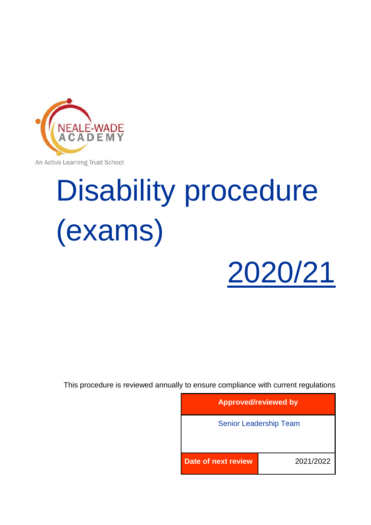

An Active Learning Trust School

# Disability procedure (exams)



This procedure is reviewed annually to ensure compliance with current regulations

| <b>Approved/reviewed by</b> |                               |
|-----------------------------|-------------------------------|
|                             | <b>Senior Leadership Team</b> |
|                             |                               |
| Date of next review         | 2021/2022                     |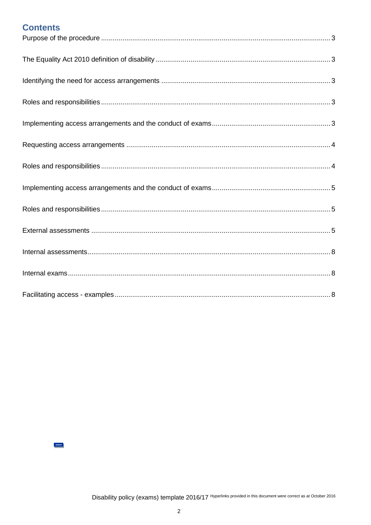# **Contents**

 $\equiv$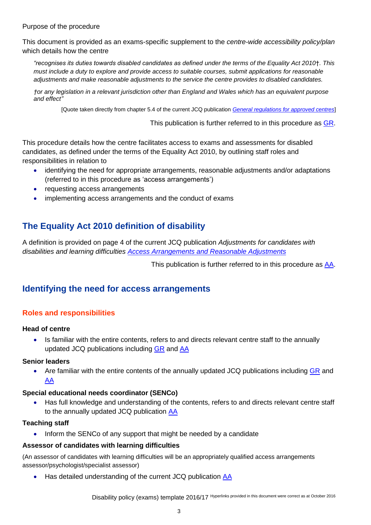#### <span id="page-2-0"></span>Purpose of the procedure

This document is provided as an exams-specific supplement to the *centre-wide accessibility policy/plan* which details how the centre

*"recognises its duties towards disabled candidates as defined under the terms of the Equality Act 2010*†*. This must include a duty to explore and provide access to suitable courses, submit applications for reasonable adjustments and make reasonable adjustments to the service the centre provides to disabled candidates.*

*†or any legislation in a relevant jurisdiction other than England and Wales which has an equivalent purpose and effect"* 

[Quote taken directly from chapter 5.4 of the current JCQ publication *[General regulations for approved centres](http://www.jcq.org.uk/exams-office/general-regulations)*]

This publication is further referred to in this procedure as [GR.](http://www.jcq.org.uk/exams-office/general-regulations)

This procedure details how the centre facilitates access to exams and assessments for disabled candidates, as defined under the terms of the Equality Act 2010, by outlining staff roles and responsibilities in relation to

- identifying the need for appropriate arrangements, reasonable adjustments and/or adaptations (referred to in this procedure as 'access arrangements')
- requesting access arrangements
- implementing access arrangements and the conduct of exams

# <span id="page-2-1"></span>**The Equality Act 2010 definition of disability**

A definition is provided on page 4 of the current JCQ publication *Adjustments for candidates with disabilities and learning difficulties [Access Arrangements and Reasonable Adjustments](http://www.jcq.org.uk/exams-office/access-arrangements-and-special-consideration/regulations-and-guidance)*

This publication is further referred to in this procedure as [AA.](http://www.jcq.org.uk/exams-office/access-arrangements-and-special-consideration/regulations-and-guidance)

# <span id="page-2-2"></span>**Identifying the need for access arrangements**

# <span id="page-2-3"></span>**Roles and responsibilities**

#### **Head of centre**

• Is familiar with the entire contents, refers to and directs relevant centre staff to the annually updated JCQ publications including [GR](http://www.jcq.org.uk/exams-office/general-regulations) and [AA](http://www.jcq.org.uk/exams-office/access-arrangements-and-special-consideration/regulations-and-guidance)

#### **Senior leaders**

Are familiar with the entire contents of the annually updated JCQ publications including [GR](http://www.jcq.org.uk/exams-office/general-regulations) and [AA](http://www.jcq.org.uk/exams-office/access-arrangements-and-special-consideration/regulations-and-guidance)

#### **Special educational needs coordinator (SENCo)**

 Has full knowledge and understanding of the contents, refers to and directs relevant centre staff to the annually updated JCQ publication [AA](http://www.jcq.org.uk/exams-office/access-arrangements-and-special-consideration/regulations-and-guidance)

#### **Teaching staff**

Inform the SENCo of any support that might be needed by a candidate

#### **Assessor of candidates with learning difficulties**

(An assessor of candidates with learning difficulties will be an appropriately qualified access arrangements assessor/psychologist/specialist assessor)

Has detailed understanding of the current JCQ publication [AA](http://www.jcq.org.uk/exams-office/access-arrangements-and-special-consideration/regulations-and-guidance)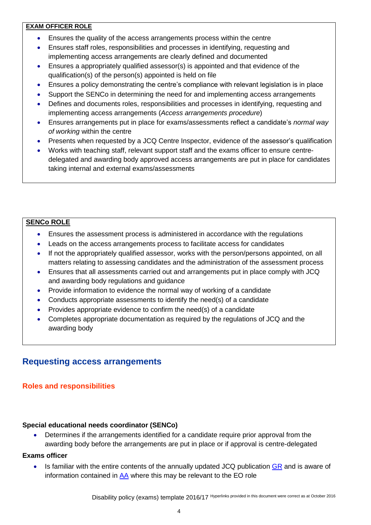# **EXAM OFFICER ROLE**

- Ensures the quality of the access arrangements process within the centre
- Ensures staff roles, responsibilities and processes in identifying, requesting and implementing access arrangements are clearly defined and documented
- Ensures a appropriately qualified assessor(s) is appointed and that evidence of the qualification(s) of the person(s) appointed is held on file
- Ensures a policy demonstrating the centre's compliance with relevant legislation is in place
- Support the SENCo in determining the need for and implementing access arrangements
- Defines and documents roles, responsibilities and processes in identifying, requesting and implementing access arrangements (*Access arrangements procedure*)
- Ensures arrangements put in place for exams/assessments reflect a candidate's *normal way of working* within the centre
- Presents when requested by a JCQ Centre Inspector, evidence of the assessor's qualification
- Works with teaching staff, relevant support staff and the exams officer to ensure centredelegated and awarding body approved access arrangements are put in place for candidates taking internal and external exams/assessments

# **SENCo ROLE**

- Ensures the assessment process is administered in accordance with the regulations
- Leads on the access arrangements process to facilitate access for candidates
- If not the appropriately qualified assessor, works with the person/persons appointed, on all matters relating to assessing candidates and the administration of the assessment process
- Ensures that all assessments carried out and arrangements put in place comply with JCQ and awarding body regulations and guidance
- Provide information to evidence the normal way of working of a candidate
- Conducts appropriate assessments to identify the need(s) of a candidate
- Provides appropriate evidence to confirm the need(s) of a candidate
- Completes appropriate documentation as required by the regulations of JCQ and the awarding body

# <span id="page-3-0"></span>**Requesting access arrangements**

# <span id="page-3-1"></span>**Roles and responsibilities**

#### **Special educational needs coordinator (SENCo)**

 Determines if the arrangements identified for a candidate require prior approval from the awarding body before the arrangements are put in place or if approval is centre-delegated

#### **Exams officer**

 $\bullet$  Is familiar with the entire contents of the annually updated JCQ publication  $\overline{GR}$  and is aware of information contained in [AA](http://www.jcq.org.uk/exams-office/access-arrangements-and-special-consideration/regulations-and-guidance) where this may be relevant to the EO role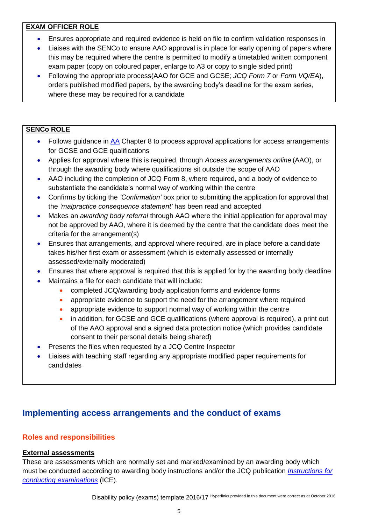# **EXAM OFFICER ROLE**

- Ensures appropriate and required evidence is held on file to confirm validation responses in
- Liaises with the SENCo to ensure AAO approval is in place for early opening of papers where this may be required where the centre is permitted to modify a timetabled written component exam paper (copy on coloured paper, enlarge to A3 or copy to single sided print)
- Following the appropriate process(AAO for GCE and GCSE; *JCQ Form 7* or *Form VQ/EA*), orders published modified papers, by the awarding body's deadline for the exam series, where these may be required for a candidate

# **SENCo ROLE**

- Follows guidance in [AA](http://www.jcq.org.uk/exams-office/access-arrangements-and-special-consideration) Chapter 8 to process approval applications for access arrangements for GCSE and GCE qualifications
- Applies for approval where this is required, through *Access arrangements online* (AAO), or through the awarding body where qualifications sit outside the scope of AAO
- AAO including the completion of JCQ Form 8, where required, and a body of evidence to substantiate the candidate's normal way of working within the centre
- Confirms by ticking the *'Confirmation'* box prior to submitting the application for approval that the *'malpractice consequence statement'* has been read and accepted
- Makes an *awarding body referral* through AAO where the initial application for approval may not be approved by AAO, where it is deemed by the centre that the candidate does meet the criteria for the arrangement(s)
- Ensures that arrangements, and approval where required, are in place before a candidate takes his/her first exam or assessment (which is externally assessed or internally assessed/externally moderated)
- Ensures that where approval is required that this is applied for by the awarding body deadline
- Maintains a file for each candidate that will include:
	- completed JCQ/awarding body application forms and evidence forms
	- appropriate evidence to support the need for the arrangement where required
	- appropriate evidence to support normal way of working within the centre
	- in addition, for GCSE and GCE qualifications (where approval is required), a print out of the AAO approval and a signed data protection notice (which provides candidate consent to their personal details being shared)
- Presents the files when requested by a JCQ Centre Inspector
- Liaises with teaching staff regarding any appropriate modified paper requirements for candidates

# <span id="page-4-0"></span>**Implementing access arrangements and the conduct of exams**

# <span id="page-4-1"></span>**Roles and responsibilities**

# <span id="page-4-2"></span>**External assessments**

These are assessments which are normally set and marked/examined by an awarding body which must be conducted according to awarding body instructions and/or the JCQ publication *[Instructions for](http://www.jcq.org.uk/exams-office/ice---instructions-for-conducting-examinations)  [conducting examinations](http://www.jcq.org.uk/exams-office/ice---instructions-for-conducting-examinations)* (ICE).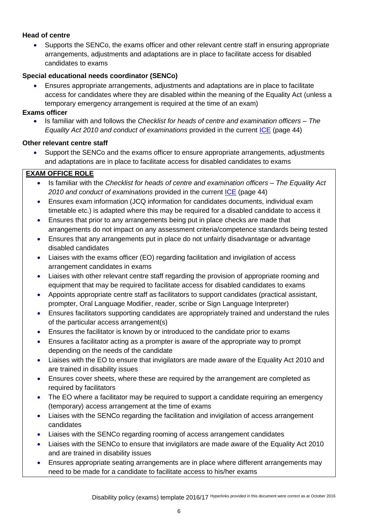# **Head of centre**

 Supports the SENCo, the exams officer and other relevant centre staff in ensuring appropriate arrangements, adjustments and adaptations are in place to facilitate access for disabled candidates to exams

## **Special educational needs coordinator (SENCo)**

 Ensures appropriate arrangements, adjustments and adaptations are in place to facilitate access for candidates where they are disabled within the meaning of the Equality Act (unless a temporary emergency arrangement is required at the time of an exam)

### **Exams officer**

 Is familiar with and follows the *Checklist for heads of centre and examination officers – The Equality Act 2010 and conduct of examinations* provided in the current [ICE](http://www.jcq.org.uk/exams-office/ice---instructions-for-conducting-examinations) (page 44)

### **Other relevant centre staff**

 Support the SENCo and the exams officer to ensure appropriate arrangements, adjustments and adaptations are in place to facilitate access for disabled candidates to exams

# **EXAM OFFICE ROLE**

- Is familiar with the *Checklist for heads of centre and examination officers – The Equality Act 2010 and conduct of examinations* provided in the current [ICE](http://www.jcq.org.uk/exams-office/ice---instructions-for-conducting-examinations) (page 44)
- Ensures exam information (JCQ information for candidates documents, individual exam timetable etc.) is adapted where this may be required for a disabled candidate to access it
- Ensures that prior to any arrangements being put in place checks are made that arrangements do not impact on any assessment criteria/competence standards being tested
- Ensures that any arrangements put in place do not unfairly disadvantage or advantage disabled candidates
- Liaises with the exams officer (EO) regarding facilitation and invigilation of access arrangement candidates in exams
- Liaises with other relevant centre staff regarding the provision of appropriate rooming and equipment that may be required to facilitate access for disabled candidates to exams
- Appoints appropriate centre staff as facilitators to support candidates (practical assistant, prompter, Oral Language Modifier, reader, scribe or Sign Language Interpreter)
- Ensures facilitators supporting candidates are appropriately trained and understand the rules of the particular access arrangement(s)
- Ensures the facilitator is known by or introduced to the candidate prior to exams
- Ensures a facilitator acting as a prompter is aware of the appropriate way to prompt depending on the needs of the candidate
- Liaises with the EO to ensure that invigilators are made aware of the Equality Act 2010 and are trained in disability issues
- Ensures cover sheets, where these are required by the arrangement are completed as required by facilitators
- The EO where a facilitator may be required to support a candidate requiring an emergency (temporary) access arrangement at the time of exams
- Liaises with the SENCo regarding the facilitation and invigilation of access arrangement candidates
- Liaises with the SENCo regarding rooming of access arrangement candidates
- Liaises with the SENCo to ensure that invigilators are made aware of the Equality Act 2010 and are trained in disability issues
- Ensures appropriate seating arrangements are in place where different arrangements may need to be made for a candidate to facilitate access to his/her exams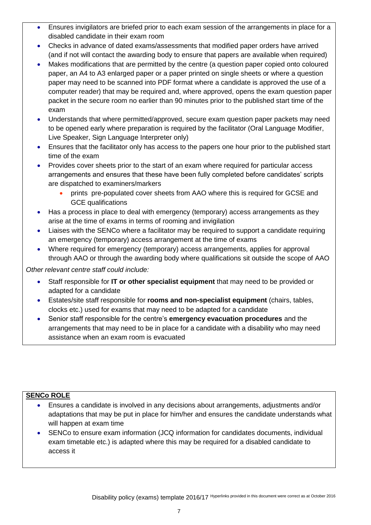- Ensures invigilators are briefed prior to each exam session of the arrangements in place for a disabled candidate in their exam room
- Checks in advance of dated exams/assessments that modified paper orders have arrived (and if not will contact the awarding body to ensure that papers are available when required)
- Makes modifications that are permitted by the centre (a question paper copied onto coloured paper, an A4 to A3 enlarged paper or a paper printed on single sheets or where a question paper may need to be scanned into PDF format where a candidate is approved the use of a computer reader) that may be required and, where approved, opens the exam question paper packet in the secure room no earlier than 90 minutes prior to the published start time of the exam
- Understands that where permitted/approved, secure exam question paper packets may need to be opened early where preparation is required by the facilitator (Oral Language Modifier, Live Speaker, Sign Language Interpreter only)
- Ensures that the facilitator only has access to the papers one hour prior to the published start time of the exam
- Provides cover sheets prior to the start of an exam where required for particular access arrangements and ensures that these have been fully completed before candidates' scripts are dispatched to examiners/markers
	- prints pre-populated cover sheets from AAO where this is required for GCSE and GCE qualifications
- Has a process in place to deal with emergency (temporary) access arrangements as they arise at the time of exams in terms of rooming and invigilation
- Liaises with the SENCo where a facilitator may be required to support a candidate requiring an emergency (temporary) access arrangement at the time of exams
- Where required for emergency (temporary) access arrangements, applies for approval through AAO or through the awarding body where qualifications sit outside the scope of AAO

*Other relevant centre staff could include:*

- Staff responsible for **IT or other specialist equipment** that may need to be provided or adapted for a candidate
- Estates/site staff responsible for **rooms and non-specialist equipment** (chairs, tables, clocks etc.) used for exams that may need to be adapted for a candidate
- Senior staff responsible for the centre's **emergency evacuation procedures** and the arrangements that may need to be in place for a candidate with a disability who may need assistance when an exam room is evacuated

# **SENCo ROLE**

- Ensures a candidate is involved in any decisions about arrangements, adjustments and/or adaptations that may be put in place for him/her and ensures the candidate understands what will happen at exam time
- SENCo to ensure exam information (JCQ information for candidates documents, individual exam timetable etc.) is adapted where this may be required for a disabled candidate to access it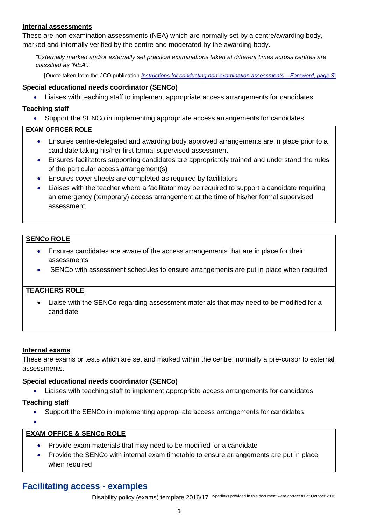#### <span id="page-7-0"></span>**Internal assessments**

These are non-examination assessments (NEA) which are normally set by a centre/awarding body, marked and internally verified by the centre and moderated by the awarding body.

*"Externally marked and/or externally set practical examinations taken at different times across centres are classified as 'NEA'."*

[Quote taken from the JCQ publication *[Instructions for conducting non-examination assessments](http://www.jcq.org.uk/exams-office/non-examination-assessments)* – *Foreword*, *page 3*]

#### **Special educational needs coordinator (SENCo)**

Liaises with teaching staff to implement appropriate access arrangements for candidates

#### **Teaching staff**

Support the SENCo in implementing appropriate access arrangements for candidates

#### **EXAM OFFICER ROLE**

- Ensures centre-delegated and awarding body approved arrangements are in place prior to a candidate taking his/her first formal supervised assessment
- Ensures facilitators supporting candidates are appropriately trained and understand the rules of the particular access arrangement(s)
- Ensures cover sheets are completed as required by facilitators
- Liaises with the teacher where a facilitator may be required to support a candidate requiring an emergency (temporary) access arrangement at the time of his/her formal supervised assessment

# **SENCo ROLE**

- Ensures candidates are aware of the access arrangements that are in place for their assessments
- SENCo with assessment schedules to ensure arrangements are put in place when required

# **TEACHERS ROLE**

 Liaise with the SENCo regarding assessment materials that may need to be modified for a candidate

#### <span id="page-7-1"></span>**Internal exams**

These are exams or tests which are set and marked within the centre; normally a pre-cursor to external assessments.

#### **Special educational needs coordinator (SENCo)**

Liaises with teaching staff to implement appropriate access arrangements for candidates

#### **Teaching staff**

Support the SENCo in implementing appropriate access arrangements for candidates

 $\bullet$ 

# **EXAM OFFICE & SENCo ROLE**

- Provide exam materials that may need to be modified for a candidate
- Provide the SENCo with internal exam timetable to ensure arrangements are put in place when required

# <span id="page-7-2"></span>**Facilitating access - examples**

Disability policy (exams) template 2016/17 Hyperlinks provided in this document were correct as at October <sup>2016</sup>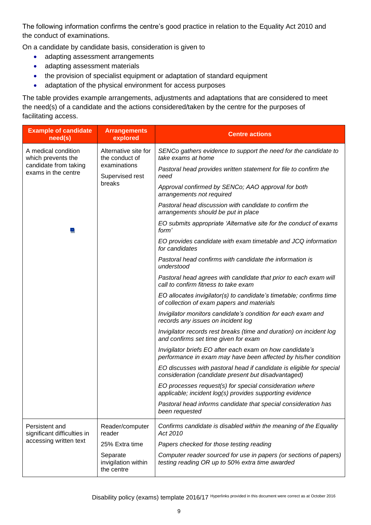The following information confirms the centre's good practice in relation to the Equality Act 2010 and the conduct of examinations.

On a candidate by candidate basis, consideration is given to

- adapting assessment arrangements
- adapting assessment materials
- the provision of specialist equipment or adaptation of standard equipment
- adaptation of the physical environment for access purposes

The table provides example arrangements, adjustments and adaptations that are considered to meet the need(s) of a candidate and the actions considered/taken by the centre for the purposes of facilitating access.

| <b>Example of candidate</b><br>need(s)                                                                                                                                                 | <b>Arrangements</b><br>explored                                                 | <b>Centre actions</b>                                                                                                       |
|----------------------------------------------------------------------------------------------------------------------------------------------------------------------------------------|---------------------------------------------------------------------------------|-----------------------------------------------------------------------------------------------------------------------------|
| A medical condition<br>Alternative site for<br>the conduct of<br>which prevents the<br>examinations<br>candidate from taking<br>exams in the centre<br>Supervised rest<br>breaks<br>×. |                                                                                 | SENCo gathers evidence to support the need for the candidate to<br>take exams at home                                       |
|                                                                                                                                                                                        |                                                                                 | Pastoral head provides written statement for file to confirm the<br>need                                                    |
|                                                                                                                                                                                        |                                                                                 | Approval confirmed by SENCo; AAO approval for both<br>arrangements not required                                             |
|                                                                                                                                                                                        |                                                                                 | Pastoral head discussion with candidate to confirm the<br>arrangements should be put in place                               |
|                                                                                                                                                                                        |                                                                                 | EO submits appropriate 'Alternative site for the conduct of exams<br>form'                                                  |
|                                                                                                                                                                                        | EO provides candidate with exam timetable and JCQ information<br>for candidates |                                                                                                                             |
|                                                                                                                                                                                        | Pastoral head confirms with candidate the information is<br>understood          |                                                                                                                             |
|                                                                                                                                                                                        |                                                                                 | Pastoral head agrees with candidate that prior to each exam will<br>call to confirm fitness to take exam                    |
|                                                                                                                                                                                        |                                                                                 | EO allocates invigilator(s) to candidate's timetable; confirms time<br>of collection of exam papers and materials           |
|                                                                                                                                                                                        |                                                                                 | Invigilator monitors candidate's condition for each exam and<br>records any issues on incident log                          |
|                                                                                                                                                                                        |                                                                                 | Invigilator records rest breaks (time and duration) on incident log<br>and confirms set time given for exam                 |
|                                                                                                                                                                                        |                                                                                 | Invigilator briefs EO after each exam on how candidate's<br>performance in exam may have been affected by his/her condition |
|                                                                                                                                                                                        |                                                                                 | EO discusses with pastoral head if candidate is eligible for special<br>consideration (candidate present but disadvantaged) |
|                                                                                                                                                                                        |                                                                                 | EO processes request(s) for special consideration where<br>applicable; incident log(s) provides supporting evidence         |
|                                                                                                                                                                                        |                                                                                 | Pastoral head informs candidate that special consideration has<br>been requested                                            |
| Persistent and<br>significant difficulties in<br>accessing written text                                                                                                                | Reader/computer<br>reader                                                       | Confirms candidate is disabled within the meaning of the Equality<br>Act 2010                                               |
|                                                                                                                                                                                        | 25% Extra time                                                                  | Papers checked for those testing reading                                                                                    |
|                                                                                                                                                                                        | Separate<br>invigilation within<br>the centre                                   | Computer reader sourced for use in papers (or sections of papers)<br>testing reading OR up to 50% extra time awarded        |